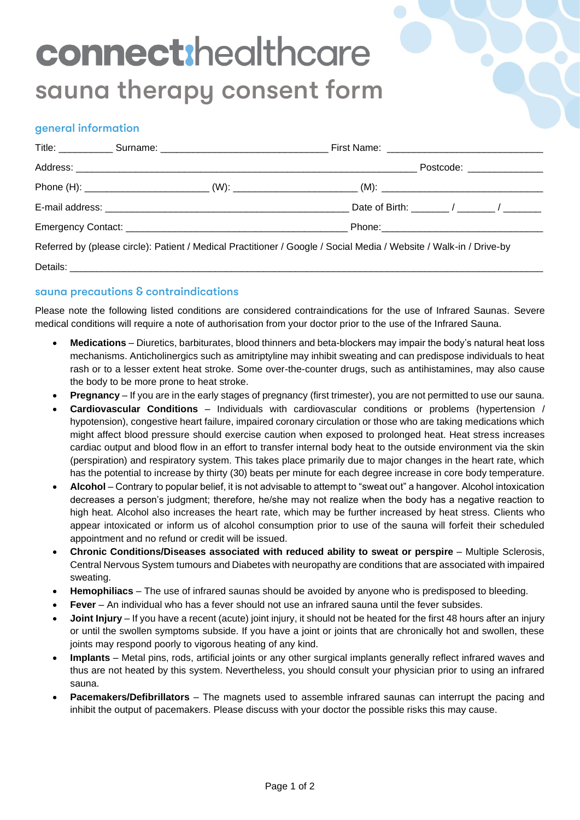# connect:healthcare sauna therapy consent form

## general information

|                                                                                                                    |  |                                                                                                                | Postcode: ________________ |  |
|--------------------------------------------------------------------------------------------------------------------|--|----------------------------------------------------------------------------------------------------------------|----------------------------|--|
|                                                                                                                    |  | Phone (H): _________________________________(W): ______________________________(M): __________________________ |                            |  |
|                                                                                                                    |  | Date of Birth: $\frac{1}{2}$ / $\frac{1}{2}$ / $\frac{1}{2}$                                                   |                            |  |
|                                                                                                                    |  |                                                                                                                |                            |  |
| Referred by (please circle): Patient / Medical Practitioner / Google / Social Media / Website / Walk-in / Drive-by |  |                                                                                                                |                            |  |

Details: \_\_\_\_\_\_\_\_\_\_\_\_\_\_\_\_\_\_\_\_\_\_\_\_\_\_\_\_\_\_\_\_\_\_\_\_\_\_\_\_\_\_\_\_\_\_\_\_\_\_\_\_\_\_\_\_\_\_\_\_\_\_\_\_\_\_\_\_\_\_\_\_\_\_\_\_\_\_\_\_\_\_\_\_\_\_\_\_

## sauna precautions & contraindications

Please note the following listed conditions are considered contraindications for the use of Infrared Saunas. Severe medical conditions will require a note of authorisation from your doctor prior to the use of the Infrared Sauna.

- **Medications** Diuretics, barbiturates, blood thinners and beta-blockers may impair the body's natural heat loss mechanisms. Anticholinergics such as amitriptyline may inhibit sweating and can predispose individuals to heat rash or to a lesser extent heat stroke. Some over-the-counter drugs, such as antihistamines, may also cause the body to be more prone to heat stroke.
- **Pregnancy** If you are in the early stages of pregnancy (first trimester), you are not permitted to use our sauna.
- **Cardiovascular Conditions** Individuals with cardiovascular conditions or problems (hypertension / hypotension), congestive heart failure, impaired coronary circulation or those who are taking medications which might affect blood pressure should exercise caution when exposed to prolonged heat. Heat stress increases cardiac output and blood flow in an effort to transfer internal body heat to the outside environment via the skin (perspiration) and respiratory system. This takes place primarily due to major changes in the heart rate, which has the potential to increase by thirty (30) beats per minute for each degree increase in core body temperature.
- **Alcohol** Contrary to popular belief, it is not advisable to attempt to "sweat out" a hangover. Alcohol intoxication decreases a person's judgment; therefore, he/she may not realize when the body has a negative reaction to high heat. Alcohol also increases the heart rate, which may be further increased by heat stress. Clients who appear intoxicated or inform us of alcohol consumption prior to use of the sauna will forfeit their scheduled appointment and no refund or credit will be issued.
- **Chronic Conditions/Diseases associated with reduced ability to sweat or perspire** Multiple Sclerosis, Central Nervous System tumours and Diabetes with neuropathy are conditions that are associated with impaired sweating.
- **Hemophiliacs** The use of infrared saunas should be avoided by anyone who is predisposed to bleeding.
- **Fever** An individual who has a fever should not use an infrared sauna until the fever subsides.
- **Joint Injury** If you have a recent (acute) joint injury, it should not be heated for the first 48 hours after an injury or until the swollen symptoms subside. If you have a joint or joints that are chronically hot and swollen, these joints may respond poorly to vigorous heating of any kind.
- **Implants** Metal pins, rods, artificial joints or any other surgical implants generally reflect infrared waves and thus are not heated by this system. Nevertheless, you should consult your physician prior to using an infrared sauna.
- **Pacemakers/Defibrillators** The magnets used to assemble infrared saunas can interrupt the pacing and inhibit the output of pacemakers. Please discuss with your doctor the possible risks this may cause.